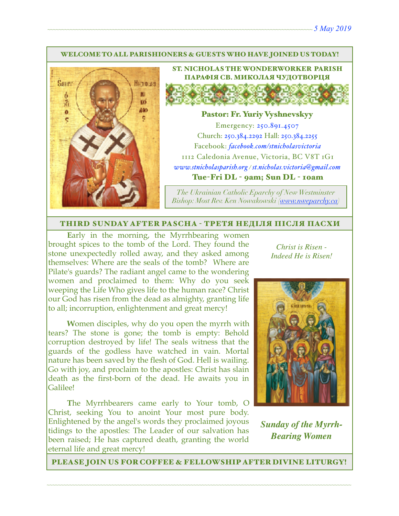#### WELCOME TO ALL PARISHIONERS & GUESTS WHO HAVE JOINED US TODAY!



ST. NICHOLAS THE WONDERWORKER PARISH ПАРАФІЯ СВ. МИКОЛАЯ ЧУДОТВОРЦЯ

#### Pastor: Fr. Yuriy Vyshnevskyy

Emergency: 250.891.4507 Church: 250.384.2292 Hall: 250.384.2255 Facebook: *[facebook.com/stnicholasvictoria](http://facebook.com/stnicholasvictoria)* 1112 Caledonia Avenue, Victoria, BC V8T 1G1 *[www.stnicholasparish.org](http://www.stnicholasparish.org) / [st.nicholas.victoria@gmail.com](mailto:st.nicholas.victoria@gmail.com)* Tue-Fri DL - 9am; Sun DL - 10am

*The Ukrainian Catholic Eparchy of New Westminster Bishop: Most Rev. Ken Nowakowski ([www.nweparchy.ca](http://www.nweparchy.ca))*

#### THIRD SUNDAY AFTER PASCHA - ТРЕТЯ НЕДІЛЯ ПІСЛЯ ПАСХИ

**E**arly in the morning, the Myrrhbearing women brought spices to the tomb of the Lord. They found the stone unexpectedly rolled away, and they asked among themselves: Where are the seals of the tomb? Where are Pilate's guards? The radiant angel came to the wondering women and proclaimed to them: Why do you seek weeping the Life Who gives life to the human race? Christ our God has risen from the dead as almighty, granting life to all; incorruption, enlightenment and great mercy!

**W**omen disciples, why do you open the myrrh with tears? The stone is gone; the tomb is empty: Behold corruption destroyed by life! The seals witness that the guards of the godless have watched in vain. Mortal nature has been saved by the flesh of God. Hell is wailing. Go with joy, and proclaim to the apostles: Christ has slain death as the first-born of the dead. He awaits you in Galilee!

**T**he Myrrhbearers came early to Your tomb, O Christ, seeking You to anoint Your most pure body. Enlightened by the angel's words they proclaimed joyous tidings to the apostles: The Leader of our salvation has been raised; He has captured death, granting the world eternal life and great mercy!

*Christ is Risen - Indeed He is Risen!* 



*Sunday of the Myrrh-Bearing Women*

PLEASE JOIN US FOR COFFEE & FELLOWSHIP AFTER DIVINE LITURGY!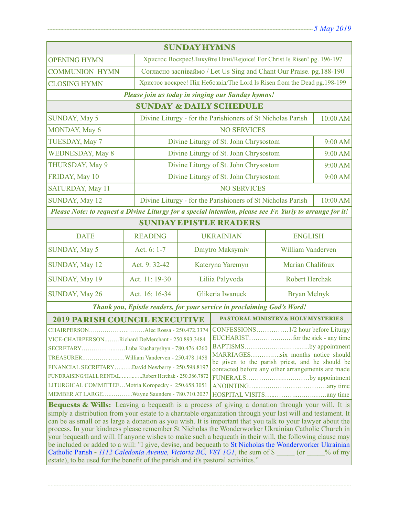| <b>SUNDAY HYMNS</b>                                                                                                                                                                                                                                                                                                                                                                                                                                                                                                                                                                                                                                                                                                                                                                                                                                                                                                                                                                                                                                                                                            |                |                                                                           |                                               |                                       |         |  |
|----------------------------------------------------------------------------------------------------------------------------------------------------------------------------------------------------------------------------------------------------------------------------------------------------------------------------------------------------------------------------------------------------------------------------------------------------------------------------------------------------------------------------------------------------------------------------------------------------------------------------------------------------------------------------------------------------------------------------------------------------------------------------------------------------------------------------------------------------------------------------------------------------------------------------------------------------------------------------------------------------------------------------------------------------------------------------------------------------------------|----------------|---------------------------------------------------------------------------|-----------------------------------------------|---------------------------------------|---------|--|
| <b>OPENING HYMN</b>                                                                                                                                                                                                                                                                                                                                                                                                                                                                                                                                                                                                                                                                                                                                                                                                                                                                                                                                                                                                                                                                                            |                | Христос Воскрес!Ликуйте Нині/Rejoice! For Christ Is Risen! pg. 196-197    |                                               |                                       |         |  |
| <b>COMMUNION HYMN</b>                                                                                                                                                                                                                                                                                                                                                                                                                                                                                                                                                                                                                                                                                                                                                                                                                                                                                                                                                                                                                                                                                          |                | Согласно заспіваймо / Let Us Sing and Chant Our Praise. pg.188-190        |                                               |                                       |         |  |
| <b>CLOSING HYMN</b>                                                                                                                                                                                                                                                                                                                                                                                                                                                                                                                                                                                                                                                                                                                                                                                                                                                                                                                                                                                                                                                                                            |                | Христос воскрес! Під Небозвід/The Lord Is Risen from the Dead pg. 198-199 |                                               |                                       |         |  |
| Please join us today in singing our Sunday hymns!                                                                                                                                                                                                                                                                                                                                                                                                                                                                                                                                                                                                                                                                                                                                                                                                                                                                                                                                                                                                                                                              |                |                                                                           |                                               |                                       |         |  |
| <b>SUNDAY &amp; DAILY SCHEDULE</b>                                                                                                                                                                                                                                                                                                                                                                                                                                                                                                                                                                                                                                                                                                                                                                                                                                                                                                                                                                                                                                                                             |                |                                                                           |                                               |                                       |         |  |
| <b>SUNDAY, May 5</b>                                                                                                                                                                                                                                                                                                                                                                                                                                                                                                                                                                                                                                                                                                                                                                                                                                                                                                                                                                                                                                                                                           |                | 10:00 AM<br>Divine Liturgy - for the Parishioners of St Nicholas Parish   |                                               |                                       |         |  |
| MONDAY, May 6                                                                                                                                                                                                                                                                                                                                                                                                                                                                                                                                                                                                                                                                                                                                                                                                                                                                                                                                                                                                                                                                                                  |                | <b>NO SERVICES</b>                                                        |                                               |                                       |         |  |
| TUESDAY, May 7                                                                                                                                                                                                                                                                                                                                                                                                                                                                                                                                                                                                                                                                                                                                                                                                                                                                                                                                                                                                                                                                                                 |                |                                                                           | Divine Liturgy of St. John Chrysostom         |                                       | 9:00 AM |  |
| <b>WEDNESDAY, May 8</b>                                                                                                                                                                                                                                                                                                                                                                                                                                                                                                                                                                                                                                                                                                                                                                                                                                                                                                                                                                                                                                                                                        |                |                                                                           |                                               | Divine Liturgy of St. John Chrysostom |         |  |
| THURSDAY, May 9                                                                                                                                                                                                                                                                                                                                                                                                                                                                                                                                                                                                                                                                                                                                                                                                                                                                                                                                                                                                                                                                                                |                |                                                                           | Divine Liturgy of St. John Chrysostom         |                                       | 9:00 AM |  |
| FRIDAY, May 10                                                                                                                                                                                                                                                                                                                                                                                                                                                                                                                                                                                                                                                                                                                                                                                                                                                                                                                                                                                                                                                                                                 |                |                                                                           | Divine Liturgy of St. John Chrysostom         | 9:00 AM                               |         |  |
| SATURDAY, May 11                                                                                                                                                                                                                                                                                                                                                                                                                                                                                                                                                                                                                                                                                                                                                                                                                                                                                                                                                                                                                                                                                               |                | <b>NO SERVICES</b>                                                        |                                               |                                       |         |  |
| SUNDAY, May 12                                                                                                                                                                                                                                                                                                                                                                                                                                                                                                                                                                                                                                                                                                                                                                                                                                                                                                                                                                                                                                                                                                 |                | Divine Liturgy - for the Parishioners of St Nicholas Parish<br>10:00 AM   |                                               |                                       |         |  |
| Please Note: to request a Divine Liturgy for a special intention, please see Fr. Yuriy to arrange for it!                                                                                                                                                                                                                                                                                                                                                                                                                                                                                                                                                                                                                                                                                                                                                                                                                                                                                                                                                                                                      |                |                                                                           |                                               |                                       |         |  |
| <b>SUNDAY EPISTLE READERS</b>                                                                                                                                                                                                                                                                                                                                                                                                                                                                                                                                                                                                                                                                                                                                                                                                                                                                                                                                                                                                                                                                                  |                |                                                                           |                                               |                                       |         |  |
| <b>DATE</b>                                                                                                                                                                                                                                                                                                                                                                                                                                                                                                                                                                                                                                                                                                                                                                                                                                                                                                                                                                                                                                                                                                    | <b>READING</b> |                                                                           | <b>UKRAINIAN</b>                              | <b>ENGLISH</b>                        |         |  |
| <b>SUNDAY, May 5</b>                                                                                                                                                                                                                                                                                                                                                                                                                                                                                                                                                                                                                                                                                                                                                                                                                                                                                                                                                                                                                                                                                           | Act. 6: 1-7    | Dmytro Maksymiv                                                           |                                               | <b>William Vanderven</b>              |         |  |
| <b>SUNDAY, May 12</b>                                                                                                                                                                                                                                                                                                                                                                                                                                                                                                                                                                                                                                                                                                                                                                                                                                                                                                                                                                                                                                                                                          | Act. 9: 32-42  | Kateryna Yaremyn                                                          |                                               | Marian Chalifoux                      |         |  |
| SUNDAY, May 19                                                                                                                                                                                                                                                                                                                                                                                                                                                                                                                                                                                                                                                                                                                                                                                                                                                                                                                                                                                                                                                                                                 | Act. 11: 19-30 | Liliia Palyvoda                                                           |                                               | <b>Robert Herchak</b>                 |         |  |
| SUNDAY, May 26                                                                                                                                                                                                                                                                                                                                                                                                                                                                                                                                                                                                                                                                                                                                                                                                                                                                                                                                                                                                                                                                                                 | Act. 16: 16-34 | Glikeria Iwanuck                                                          |                                               | <b>Bryan Melnyk</b>                   |         |  |
| Thank you, Epistle readers, for your service in proclaiming God's Word!                                                                                                                                                                                                                                                                                                                                                                                                                                                                                                                                                                                                                                                                                                                                                                                                                                                                                                                                                                                                                                        |                |                                                                           |                                               |                                       |         |  |
| <b>2019 PARISH COUNCIL EXECUTIVE</b>                                                                                                                                                                                                                                                                                                                                                                                                                                                                                                                                                                                                                                                                                                                                                                                                                                                                                                                                                                                                                                                                           |                |                                                                           | <b>PASTORAL MINISTRY &amp; HOLY MYSTERIES</b> |                                       |         |  |
| CHAIRPERSONAlec Rossa - 250.472.3374<br>VICE-CHAIRPERSONRichard DeMerchant - 250.893.3484<br>BAPTISMSby appointment  <br>SECRETARYLuba Kucharyshyn - 780.476.4260<br>MARRIAGESsix months notice should<br>be given to the parish priest, and he should be<br>FINANCIAL SECRETARYDavid Newberry - 250.598.8197<br>contacted before any other arrangements are made<br>FUNDRAISING/HALL RENTALRobert Herchak - 250.386.7872<br>FUNERALSby appointment<br>LITURGICAL COMMITTEEMotria Koropecky - 250.658.3051<br>MEMBER AT LARGEWayne Saunders - 780.710.2027<br>Bequests & Wills: Leaving a bequeath is a process of giving a donation through your will. It is<br>simply a distribution from your estate to a charitable organization through your last will and testament. It<br>can be as small or as large a donation as you wish. It is important that you talk to your lawyer about the<br>process. In your kindness please remember St Nicholas the Wonderworker Ukrainian Catholic Church in<br>your bequeath and will. If anyone wishes to make such a bequeath in their will, the following clause may |                |                                                                           |                                               |                                       |         |  |
| be included or added to a will: "I give, devise, and bequeath to St Nicholas the Wonderworker Ukrainian<br>Catholic Parish - 1112 Caledonia Avenue, Victoria BC, V8T 1G1, the sum of \$<br>$($ or<br>$\%$ of my<br>estate), to be used for the benefit of the parish and it's pastoral activities."                                                                                                                                                                                                                                                                                                                                                                                                                                                                                                                                                                                                                                                                                                                                                                                                            |                |                                                                           |                                               |                                       |         |  |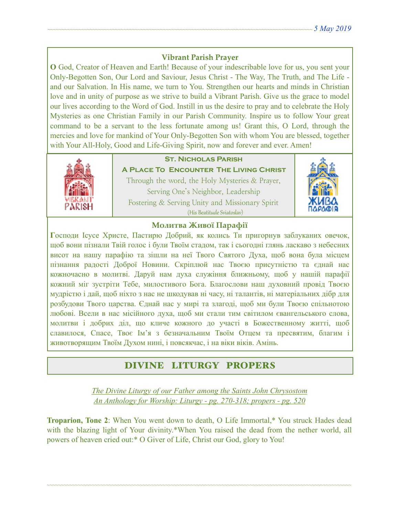# **Vibrant Parish Prayer**

**O** God, Creator of Heaven and Earth! Because of your indescribable love for us, you sent your Only-Begotten Son, Our Lord and Saviour, Jesus Christ - The Way, The Truth, and The Life and our Salvation. In His name, we turn to You. Strengthen our hearts and minds in Christian love and in unity of purpose as we strive to build a Vibrant Parish. Give us the grace to model our lives according to the Word of God. Instill in us the desire to pray and to celebrate the Holy Mysteries as one Christian Family in our Parish Community. Inspire us to follow Your great command to be a servant to the less fortunate among us! Grant this, O Lord, through the mercies and love for mankind of Your Only-Begotten Son with whom You are blessed, together with Your All-Holy, Good and Life-Giving Spirit, now and forever and ever. Amen!



# **St. Nicholas Parish**

**A Place To Encounter The Living Christ** Through the word, the Holy Mysteries & Prayer, Serving One's Neighbor, Leadership Fostering & Serving Unity and Missionary Spirit (His Beatitude Sviatoslav)



### **Молитва Живої Парафії**

**Г**осподи Ісусе Христе, Пастирю Добрий, як колись Ти пригорнув заблуканих овечок, щоб вони пізнали Твій голос і були Твоїм стадом, так і сьогодні глянь ласкаво з небесних висот на нашу парафію та зішли на неї Твого Святого Духа, щоб вона була місцем пізнання радості Доброї Новини. Скріплюй нас Твоєю присутністю та єднай нас кожночасно в молитві. Даруй нам духа служіння ближньому, щоб у нашій парафії кожний міг зустріти Тебе, милостивого Бога. Благослови наш духовний провід Твоєю мудрістю і дай, щоб ніхто з нас не шкодував ні часу, ні талантів, ні матеріальних дібр для розбудови Твого царства. Єднай нас у мирі та злагоді, щоб ми були Твоєю спільнотою любові. Всели в нас місійного духа, щоб ми стали тим світилом євангельського слова, молитви і добрих діл, що кличе кожного до участі в Божественному житті, щоб славилося, Спасе, Твоє Ім'я з безначальним Твоїм Отцем та пресвятим, благим і животворящим Твоїм Духом нині, і повсякчас, і на віки віків. Амінь.

# DIVINE LITURGY PROPERS

*The Divine Liturgy of our Father among the Saints John Chrysostom An Anthology for Worship: Liturgy - pg. 270-318; propers - pg. 520* 

**Troparion, Tone 2**: When You went down to death, O Life Immortal,<sup>\*</sup> You struck Hades dead with the blazing light of Your divinity.\*When You raised the dead from the nether world, all powers of heaven cried out:\* O Giver of Life, Christ our God, glory to You!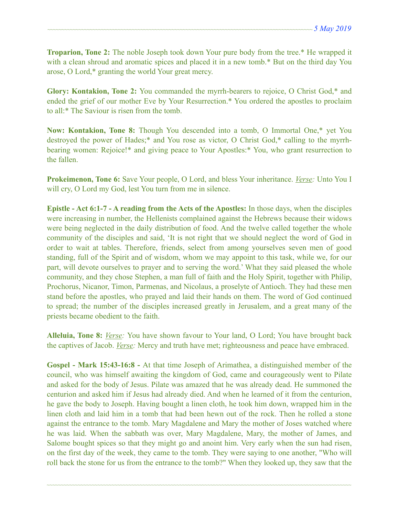**Troparion, Tone 2:** The noble Joseph took down Your pure body from the tree.\* He wrapped it with a clean shroud and aromatic spices and placed it in a new tomb.\* But on the third day You arose, O Lord,\* granting the world Your great mercy.

**Glory: Kontakion, Tone 2:** You commanded the myrrh-bearers to rejoice, O Christ God,\* and ended the grief of our mother Eve by Your Resurrection.\* You ordered the apostles to proclaim to all:\* The Saviour is risen from the tomb.

**Now: Kontakion, Tone 8:** Though You descended into a tomb, O Immortal One,\* yet You destroyed the power of Hades;\* and You rose as victor, O Christ God,\* calling to the myrrhbearing women: Rejoice!\* and giving peace to Your Apostles:\* You, who grant resurrection to the fallen.

**Prokeimenon, Tone 6:** Save Your people, O Lord, and bless Your inheritance. *Verse:* Unto You I will cry, O Lord my God, lest You turn from me in silence.

**Epistle - Act 6:1-7 - A reading from the Acts of the Apostles:** In those days, when the disciples were increasing in number, the Hellenists complained against the Hebrews because their widows were being neglected in the daily distribution of food. And the twelve called together the whole community of the disciples and said, 'It is not right that we should neglect the word of God in order to wait at tables. Therefore, friends, select from among yourselves seven men of good standing, full of the Spirit and of wisdom, whom we may appoint to this task, while we, for our part, will devote ourselves to prayer and to serving the word.' What they said pleased the whole community, and they chose Stephen, a man full of faith and the Holy Spirit, together with Philip, Prochorus, Nicanor, Timon, Parmenas, and Nicolaus, a proselyte of Antioch. They had these men stand before the apostles, who prayed and laid their hands on them. The word of God continued to spread; the number of the disciples increased greatly in Jerusalem, and a great many of the priests became obedient to the faith.

**Alleluia, Tone 8:** *Verse:* You have shown favour to Your land, O Lord; You have brought back the captives of Jacob. *Verse:* Mercy and truth have met; righteousness and peace have embraced.

**Gospel - Mark 15:43-16:8 -** At that time Joseph of Arimathea, a distinguished member of the council, who was himself awaiting the kingdom of God, came and courageously went to Pilate and asked for the body of Jesus. Pilate was amazed that he was already dead. He summoned the centurion and asked him if Jesus had already died. And when he learned of it from the centurion, he gave the body to Joseph. Having bought a linen cloth, he took him down, wrapped him in the linen cloth and laid him in a tomb that had been hewn out of the rock. Then he rolled a stone against the entrance to the tomb. Mary Magdalene and Mary the mother of Joses watched where he was laid. When the sabbath was over, Mary Magdalene, Mary, the mother of James, and Salome bought spices so that they might go and anoint him. Very early when the sun had risen, on the first day of the week, they came to the tomb. They were saying to one another, "Who will roll back the stone for us from the entrance to the tomb?" When they looked up, they saw that the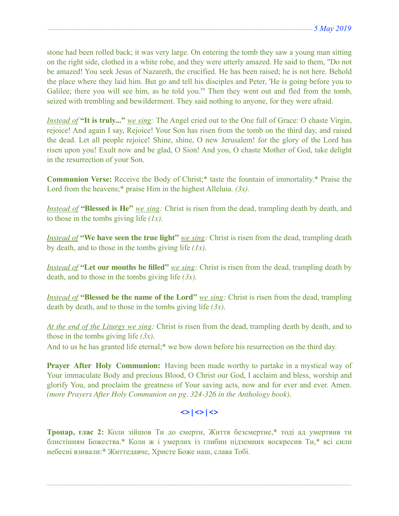stone had been rolled back; it was very large. On entering the tomb they saw a young man sitting on the right side, clothed in a white robe, and they were utterly amazed. He said to them, "Do not be amazed! You seek Jesus of Nazareth, the crucified. He has been raised; he is not here. Behold the place where they laid him. But go and tell his disciples and Peter, 'He is going before you to Galilee; there you will see him, as he told you.'" Then they went out and fled from the tomb, seized with trembling and bewilderment. They said nothing to anyone, for they were afraid.

*Instead of* **"It is truly..."** *we sing:* The Angel cried out to the One full of Grace: O chaste Virgin, rejoice! And again I say, Rejoice! Your Son has risen from the tomb on the third day, and raised the dead. Let all people rejoice! Shine, shine, O new Jerusalem! for the glory of the Lord has risen upon you! Exult now and be glad, O Sion! And you, O chaste Mother of God, take delight in the resurrection of your Son.

**Communion Verse:** Receive the Body of Christ;\* taste the fountain of immortality.\* Praise the Lord from the heavens;\* praise Him in the highest Alleluia. *(3x).* 

*Instead of* **"Blessed is He"** *we sing:* Christ is risen from the dead, trampling death by death, and to those in the tombs giving life *(1x)*.

*Instead of* **"We have seen the true light"** *we sing:* Christ is risen from the dead, trampling death by death, and to those in the tombs giving life *(1x)*.

*Instead of* **"Let our mouths be filled"** *we sing:* Christ is risen from the dead, trampling death by death, and to those in the tombs giving life *(3x)*.

*Instead of* **"Blessed be the name of the Lord"** *we sing:* Christ is risen from the dead, trampling death by death, and to those in the tombs giving life *(3x)*.

*At the end of the Liturgy we sing:* Christ is risen from the dead, trampling death by death, and to those in the tombs giving life *(3x).*

And to us he has granted life eternal;\* we bow down before his resurrection on the third day.

**Prayer After Holy Communion:** Having been made worthy to partake in a mystical way of Your immaculate Body and precious Blood, O Christ our God, I acclaim and bless, worship and glorify You, and proclaim the greatness of Your saving acts, now and for ever and ever. Amen. *(more Prayers After Holy Communion on pg. 324-326 in the Anthology book).* 

# $\langle$ > $|$  $\langle$ > $|$  $\langle$  $>$  $|$  $\langle$  $>$

**Тропар, глас 2:** Коли зійшов Ти до смерти, Життя безсмертне,\* тоді ад умертвив ти блистінням Божества.\* Коли ж і умерлих із глибин підземних воскресив Ти,\* всі сили небесні взивали:\* Життедавче, Христе Боже наш, слава Тобі.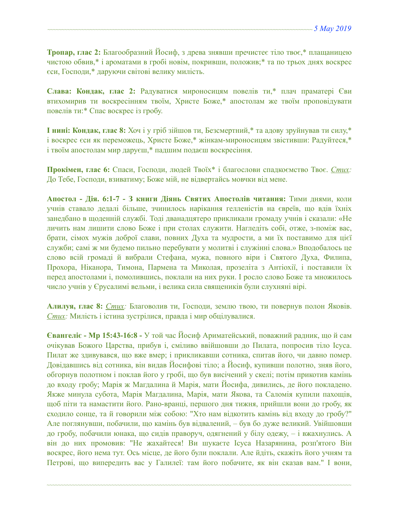**Тропар, глас 2:** Благообразний Йосиф, з древа знявши пречистеє тіло твоє,\* плащаницею чистою обвив,\* і ароматами в гробі новім, покривши, положив;\* та по трьох днях воскрес єси, Господи,\* даруючи світові велику милість.

**Слава: Кондак, глас 2:** Радуватися мироносицям повелів ти,\* плач праматері Єви втихомирив ти воскресінням твоїм, Христе Боже,\* апостолам же твоїм проповідувати повелів ти:\* Спас воскрес із гробу.

**І нині: Кондак, глас 8:** Хоч і у гріб зійшов ти, Безсмертний,\* та адову зруйнував ти силу,\* і воскрес єси як переможець, Христе Боже,\* жінкам-мироносицям звістивши: Радуйтеся,\* і твоїм апостолам мир даруєш,\* падшим подаєш воскресіння.

**Прокімен, глас 6:** Спаси, Господи, людей Твоїх\* і благослови спадкоємство Твоє. *Стих:*  До Тебе, Господи, взиватиму; Боже мій, не відвертайсь мовчки від мене.

**Апостол - Дія. 6:1-7 - З книги Діянь Святих Апостолів читання:** Тими днями, коли учнів ставало дедалі більше, зчинилось нарікання гелленістів на євреїв, що вдів їхніх занедбано в щоденній службі. Тоді дванадцятеро прикликали громаду учнів і сказали: «Не личить нам лишити слово Боже і при столах служити. Нагледіть собі, отже, з-поміж вас, брати, сімох мужів доброї слави, повних Духа та мудрости, а ми їх поставимо для цієї служби; самі ж ми будемо пильно перебувати у молитві і служінні слова.» Вподобалось це слово всій громаді й вибрали Стефана, мужа, повного віри і Святого Духа, Филипа, Прохора, Ніканора, Тимона, Пармена та Миколая, прозеліта з Антіохії, і поставили їх перед апостолами і, помолившись, поклали на них руки. І росло слово Боже та множилось число учнів у Єрусалимі вельми, і велика сила священиків були слухняні вірі.

**Алилуя, глас 8:** *Стих:* Благоволив ти, Господи, землю твою, ти повернув полон Яковів. *Стих:* Милість і істина зустрілися, правда і мир обцілувалися.

**Євангеліє - Мр 15:43-16:8 -** У той час Йосиф Ариматейський, поважний радник, що й сам очікував Божого Царства, прибув і, сміливо ввійшовши до Пилата, попросив тіло Ісуса. Пилат же здивувався, що вже вмер; і прикликавши сотника, спитав його, чи давно помер. Довідавшись від сотника, він видав Йосифові тіло; а Йосиф, купивши полотно, зняв його, обгорнув полотном і поклав його у гробі, що був висічений у скелі; потім прикотив камінь до входу гробу; Марія ж Магдалина й Марія, мати Йосифа, дивились, де його покладено. Якже минула субота, Марія Магдалина, Марія, мати Якова, та Саломія купили пахощів, щоб піти та намастити його. Рано-вранці, першого дня тижня, прийшли вони до гробу, як сходило сонце, та й говорили між собою: "Хто нам відкотить камінь від входу до гробу?" Але поглянувши, побачили, що камінь був відвалений, – був бо дуже великий. Увійшовши до гробу, побачили юнака, що сидів праворуч, одягнений у білу одежу, – і вжахнулись. А він до них промовив: "Не жахайтеся! Ви шукаєте Ісуса Назарянина, розп'ятого Він воскрес, його нема тут. Ось місце, де його були поклали. Але йдіть, скажіть його учням та Петрові, що випередить вас у Галилеї: там його побачите, як він сказав вам." І вони,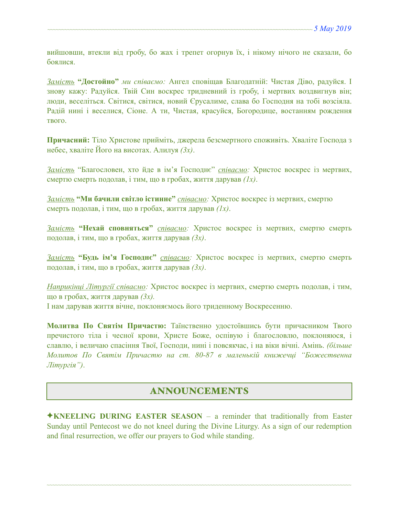вийшовши, втекли від гробу, бо жах і трепет огорнув їх, і нікому нічого не сказали, бо боялися.

*Замість* **"Достойно"** *ми співаємо:* Ангел сповіщав Благодатній: Чистая Діво, радуйся. І знову кажу: Радуйся. Твій Син воскрес тридневний із гробу, і мертвих воздвигнув він; люди, веселіться. Світися, світися, новий Єрусалиме, слава бо Господня на тобі возсіяла. Радій нині і веселися, Сіоне. А ти, Чистая, красуйся, Богородице, востанням рождення твого.

**Причасний:** Тіло Христове прийміть, джерела безсмертного споживіть. Хваліте Господа з небес, хваліте Його на висотах. Алилуя *(3x)*.

*Замість* "Благословен, хто йде в ім'я Господнє" *співаємо:* Христос воскрес із мертвих, смертю смерть подолав, і тим, що в гробах, життя дарував *(1x)*.

*Замість* **"Ми бачили світло істинне"** *співаємо:* Христос воскрес із мертвих, смертю смерть подолав, і тим, що в гробах, життя дарував *(1x)*.

*Замість* **"Нехай сповняться"** *співаємо:* Христос воскрес із мертвих, смертю смерть подолав, і тим, що в гробах, життя дарував *(3x)*.

*Замість* **"Будь ім'я Господнє"** *співаємо:* Христос воскрес із мертвих, смертю смерть подолав, і тим, що в гробах, життя дарував *(3x)*.

*Наприкінці Літургії співаємо:* Христос воскрес із мертвих, смертю смерть подолав, і тим, що в гробах, життя дарував *(3x).*

І нам дарував життя вічне, поклоняємось його триденному Воскресенню.

**Молитва По Святім Причастю:** Таїнственно удостоївшись бути причасником Твого пречистого тіла і чесної крови, Христе Боже, оспівую і благословлю, поклоняюся, і славлю, і величаю спасіння Твої, Господи, нині і повсякчас, і на віки вічні. Амінь. *(більше Молитов По Святім Причастю на ст. 80-87 в маленькій книжечці "Божественна Літургія")*.

# ANNOUNCEMENTS

✦**KNEELING DURING EASTER SEASON** – a reminder that traditionally from Easter Sunday until Pentecost we do not kneel during the Divine Liturgy. As a sign of our redemption and final resurrection, we offer our prayers to God while standing.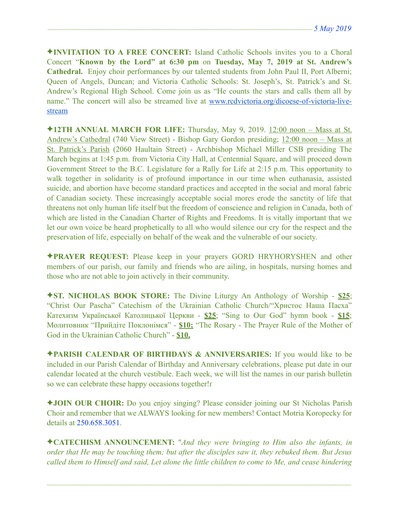✦**INVITATION TO A FREE CONCERT:** Island Catholic Schools invites you to a Choral Concert "**Known by the Lord" at 6:30 pm** on **Tuesday, May 7, 2019 at St. Andrew's Cathedral.** Enjoy choir performances by our talented students from John Paul II, Port Alberni; Queen of Angels, Duncan; and Victoria Catholic Schools: St. Joseph's, St. Patrick's and St. Andrew's Regional High School. Come join us as "He counts the stars and calls them all by name." The concert will also be streamed live at [www.rcdvictoria.org/dicoese-of-victoria-live](http://www.rcdvictoria.org/dicoese-of-victoria-live-stream)[stream](http://www.rcdvictoria.org/dicoese-of-victoria-live-stream)

✦**12TH ANNUAL MARCH FOR LIFE:** Thursday, May 9, 2019. 12:00 noon – Mass at St. Andrew's Cathedral (740 View Street) - Bishop Gary Gordon presiding; 12:00 noon – Mass at St. Patrick's Parish (2060 Haultain Street) - Archbishop Michael Miller CSB presiding The March begins at 1:45 p.m. from Victoria City Hall, at Centennial Square, and will proceed down Government Street to the B.C. Legislature for a Rally for Life at 2:15 p.m. This opportunity to walk together in solidarity is of profound importance in our time when euthanasia, assisted suicide, and abortion have become standard practices and accepted in the social and moral fabric of Canadian society. These increasingly acceptable social mores erode the sanctity of life that threatens not only human life itself but the freedom of conscience and religion in Canada, both of which are listed in the Canadian Charter of Rights and Freedoms. It is vitally important that we let our own voice be heard prophetically to all who would silence our cry for the respect and the preservation of life, especially on behalf of the weak and the vulnerable of our society.

✦**PRAYER REQUEST:** Please keep in your prayers GORD HRYHORYSHEN and other members of our parish, our family and friends who are ailing, in hospitals, nursing homes and those who are not able to join actively in their community.

✦**ST. NICHOLAS BOOK STORE:** The Divine Liturgy An Anthology of Worship - **\$25**; "Christ Our Pascha" Catechism of the Ukrainian Catholic Church/"Христос Наша Пасха" Катехизм Української Католицької Церкви - **\$25**; "Sing to Our God" hymn book - **\$15**; Молитовник "Прийдіте Поклонімся" - **\$10;** "The Rosary - The Prayer Rule of the Mother of God in the Ukrainian Catholic Church" - **\$10.** 

✦**PARISH CALENDAR OF BIRTHDAYS & ANNIVERSARIES:** If you would like to be included in our Parish Calendar of Birthday and Anniversary celebrations, please put date in our calendar located at the church vestibule. Each week, we will list the names in our parish bulletin so we can celebrate these happy occasions together!<sup>r</sup>

✦**JOIN OUR CHOIR:** Do you enjoy singing? Please consider joining our St Nicholas Parish Choir and remember that we ALWAYS looking for new members! Contact Motria Koropecky for details at 250.658.3051.

✦**CATECHISM ANNOUNCEMENT:** "*And they were bringing to Him also the infants, in order that He may be touching them; but after the disciples saw it, they rebuked them. But Jesus called them to Himself and said, Let alone the little children to come to Me, and cease hindering*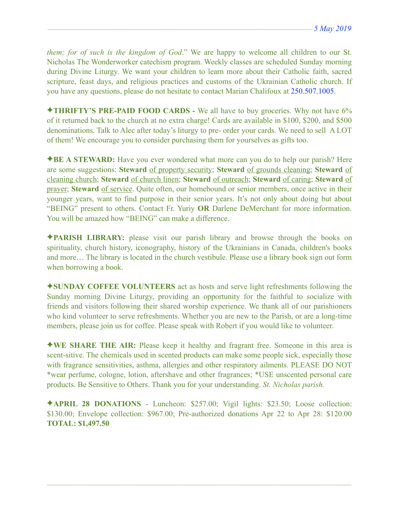*them; for of such is the kingdom of God*." We are happy to welcome all children to our St. Nicholas The Wonderworker catechism program. Weekly classes are scheduled Sunday morning during Divine Liturgy. We want your children to learn more about their Catholic faith, sacred scripture, feast days, and religious practices and customs of the Ukrainian Catholic church. If you have any questions, please do not hesitate to contact Marian Chalifoux at 250.507.1005.

✦**THRIFTY'S PRE-PAID FOOD CARDS -** We all have to buy groceries. Why not have 6% of it returned back to the church at no extra charge! Cards are available in \$100, \$200, and \$500 denominations. Talk to Alec after today's liturgy to pre- order your cards. We need to sell A LOT of them! We encourage you to consider purchasing them for yourselves as gifts too.

✦**BE A STEWARD:** Have you ever wondered what more can you do to help our parish? Here are some suggestions: **Steward** of property security; **Steward** of grounds cleaning; **Steward** of cleaning church; **Steward** of church linen; **Steward** of outreach; **Steward** of caring; **Steward** of prayer; **Steward** of service. Quite often, our homebound or senior members, once active in their younger years, want to find purpose in their senior years. It's not only about doing but about "BEING" present to others. Contact Fr. Yuriy **OR** Darlene DeMerchant for more information. You will be amazed how "BEING" can make a difference.

✦**PARISH LIBRARY:** please visit our parish library and browse through the books on spirituality, church history, iconography, history of the Ukrainians in Canada, children's books and more… The library is located in the church vestibule. Please use a library book sign out form when borrowing a book.

✦**SUNDAY COFFEE VOLUNTEERS** act as hosts and serve light refreshments following the Sunday morning Divine Liturgy, providing an opportunity for the faithful to socialize with friends and visitors following their shared worship experience. We thank all of our parishioners who kind volunteer to serve refreshments. Whether you are new to the Parish, or are a long-time members, please join us for coffee. Please speak with Robert if you would like to volunteer.

✦**WE SHARE THE AIR:** Please keep it healthy and fragrant free. Someone in this area is scent-sitive. The chemicals used in scented products can make some people sick, especially those with fragrance sensitivities, asthma, allergies and other respiratory ailments. PLEASE DO NOT \*wear perfume, cologne, lotion, aftershave and other fragrances; \*USE unscented personal care products. Be Sensitive to Others. Thank you for your understanding. *St. Nicholas parish.* 

✦**APRIL 28 DONATIONS** - Luncheon: \$257.00; Vigil lights: \$23.50; Loose collection: \$130.00; Envelope collection: \$967.00; Pre-authorized donations Apr 22 to Apr 28: \$120.00 **TOTAL: \$1,497.50**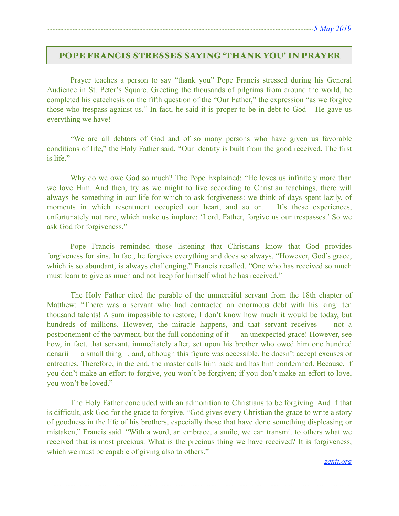## POPE FRANCIS STRESSES SAYING 'THANK YOU' IN PRAYER

Prayer teaches a person to say "thank you" Pope Francis stressed during his General Audience in St. Peter's Square. Greeting the thousands of pilgrims from around the world, he completed his catechesis on the fifth question of the "Our Father," the expression "as we forgive those who trespass against us." In fact, he said it is proper to be in debt to God – He gave us everything we have!

 "We are all debtors of God and of so many persons who have given us favorable conditions of life," the Holy Father said. "Our identity is built from the good received. The first is life."

Why do we owe God so much? The Pope Explained: "He loves us infinitely more than we love Him. And then, try as we might to live according to Christian teachings, there will always be something in our life for which to ask forgiveness: we think of days spent lazily, of moments in which resentment occupied our heart, and so on. It's these experiences, unfortunately not rare, which make us implore: 'Lord, Father, forgive us our trespasses.' So we ask God for forgiveness."

 Pope Francis reminded those listening that Christians know that God provides forgiveness for sins. In fact, he forgives everything and does so always. "However, God's grace, which is so abundant, is always challenging," Francis recalled. "One who has received so much must learn to give as much and not keep for himself what he has received."

 The Holy Father cited the parable of the unmerciful servant from the 18th chapter of Matthew: "There was a servant who had contracted an enormous debt with his king: ten thousand talents! A sum impossible to restore; I don't know how much it would be today, but hundreds of millions. However, the miracle happens, and that servant receives — not a postponement of the payment, but the full condoning of it — an unexpected grace! However, see how, in fact, that servant, immediately after, set upon his brother who owed him one hundred denarii — a small thing –, and, although this figure was accessible, he doesn't accept excuses or entreaties. Therefore, in the end, the master calls him back and has him condemned. Because, if you don't make an effort to forgive, you won't be forgiven; if you don't make an effort to love, you won't be loved."

 The Holy Father concluded with an admonition to Christians to be forgiving. And if that is difficult, ask God for the grace to forgive. "God gives every Christian the grace to write a story of goodness in the life of his brothers, especially those that have done something displeasing or mistaken," Francis said. "With a word, an embrace, a smile, we can transmit to others what we received that is most precious. What is the precious thing we have received? It is forgiveness, which we must be capable of giving also to others."

~~~~~~~~~~~~~~~~~~~~~~~~~~~~~~~~~~~~~~~~~~~~~~~~~~~~~~~~~~~~~~~~~~~~~~~~~~~~~~~~~~~~~~~~~~~~~~~~~~~~~~~~~~~~

#### *[zenit.org](http://zenit.org)*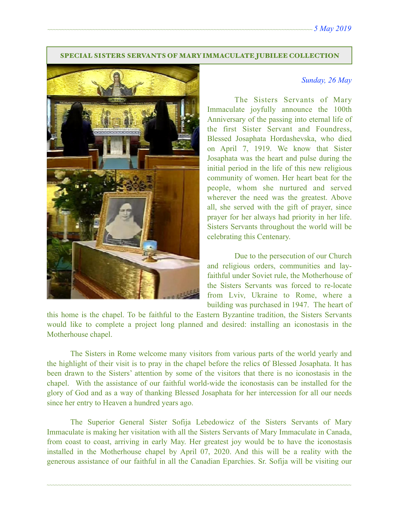### SPECIAL SISTERS SERVANTS OF MARY IMMACULATE JUBILEE COLLECTION



### *Sunday, 26 May*

 The Sisters Servants of Mary Immaculate joyfully announce the 100th Anniversary of the passing into eternal life of the first Sister Servant and Foundress, Blessed Josaphata Hordashevska, who died on April 7, 1919. We know that Sister Josaphata was the heart and pulse during the initial period in the life of this new religious community of women. Her heart beat for the people, whom she nurtured and served wherever the need was the greatest. Above all, she served with the gift of prayer, since prayer for her always had priority in her life. Sisters Servants throughout the world will be celebrating this Centenary.

 Due to the persecution of our Church and religious orders, communities and layfaithful under Soviet rule, the Motherhouse of the Sisters Servants was forced to re-locate from Lviv, Ukraine to Rome, where a building was purchased in 1947. The heart of

this home is the chapel. To be faithful to the Eastern Byzantine tradition, the Sisters Servants would like to complete a project long planned and desired: installing an iconostasis in the Motherhouse chapel.

 The Sisters in Rome welcome many visitors from various parts of the world yearly and the highlight of their visit is to pray in the chapel before the relics оf Blessed Josaphata. It has been drawn to the Sisters' attention by some of the visitors that there is no iconostasis in the chapel. With the assistance of our faithful world-wide the iconostasis can be installed for the glory of God and as a way of thanking Blessed Josaphata for her intercession for all our needs since her entry to Heaven a hundred years ago.

 The Superior General Sister Sofija Lebedowicz of the Sisters Servants of Mary Immaculate is making her visitation with all the Sisters Servants of Mary Immaculate in Canada, from coast to coast, arriving in early May. Her greatest joy would be to have the iconostasis installed in the Motherhouse chapel by April 07, 2020. And this will be a reality with the generous assistance of our faithful in all the Canadian Eparchies. Sr. Sofija will be visiting our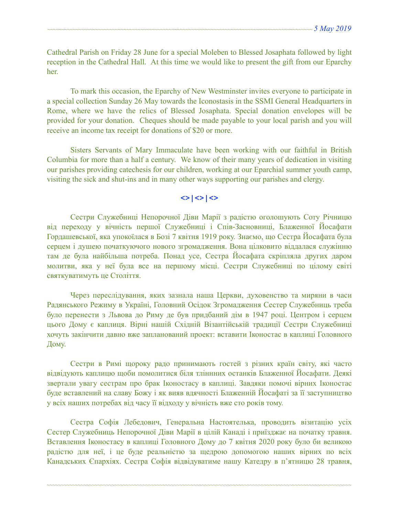Cathedral Parish on Friday 28 June for a special Moleben to Blessed Josaphata followed by light reception in the Cathedral Hall. At this time we would like to present the gift from our Eparchy her.

 To mark this occasion, the Eparchy of New Westminster invites everyone to participate in a special collection Sunday 26 May towards the Iconostasis in the SSMI General Headquarters in Rome, where we have the relics of Blessed Josaphata. Special donation envelopes will be provided for your donation. Cheques should be made payable to your local parish and you will receive an income tax receipt for donations of \$20 or more.

 Sisters Servants of Mary Immaculate have been working with our faithful in British Columbia for more than a half a century. We know of their many years of dedication in visiting our parishes providing catechesis for our children, working at our Eparchial summer youth camp, visiting the sick and shut-ins and in many other ways supporting our parishes and clergy.

# $\langle \rangle$   $\langle \rangle$   $\langle \rangle$   $\langle \rangle$

Сестри Служебниці Непорочної Діви Марії з радістю оголошують Соту Річницю від переходу у вічність першої Служебниці і Спів-Засновниці, Блаженної Йосафати Гордашевської, яка упокоїлася в Бозі 7 квітня 1919 року. Знаємо, що Сестра Йосафата була серцем і душею початкуючого нового згромадження. Вона цілковито віддалася служінню там де була найбільша потреба. Понад усе, Сестра Йосафата скріпляла других даром молитви, яка у неї була все на першому місці. Сестри Служебниці по цілому світі святкуватимуть це Століття.

Через переслідування, яких зазнала наша Церкви, духовенство та миряни в часи Радянського Режиму в Україні, Головний Осідок Згромадження Сестер Служебниць треба було перенести з Львова до Риму де був придбаний дім в 1947 році. Центром і серцем цього Дому є каплиця. Вірні нашій Східній Візантійській традиції Сестри Служебниці хочуть закінчити давно вже запланований проект: вставити Іконостас в каплиці Головного Дому.

Сестри в Римі щороку радо принимають гостей з різних країн світу, які часто відвідують каплицю щоби помолитися біля тліннних останків Блаженної Йосафати. Деякі звертали увагу сестрам про брак Іконостасу в каплиці. Завдяки помочі вірних Іконостас буде вставлений на славу Божу і як вияв вдячності Блаженній Йосафаті за її заступництво у всіх наших потребах від часу її відходу у вічність вже сто років тому.

Сестра Софія Лебедович, Генеральна Настоятелька, проводить візитацію усіх Сестер Служебниць Непорочної Діви Марії в цілій Канаді і приїзджає на початку травня. Вставлення Іконостасу в каплиці Головного Дому до 7 квітня 2020 року було би великою радістю для неї, і це буде реальністю за щедрою допомогою наших вірних по всіх Канадських Єпархіях. Сестра Софія відвідуватиме нашу Катедру в п'ятницю 28 травня,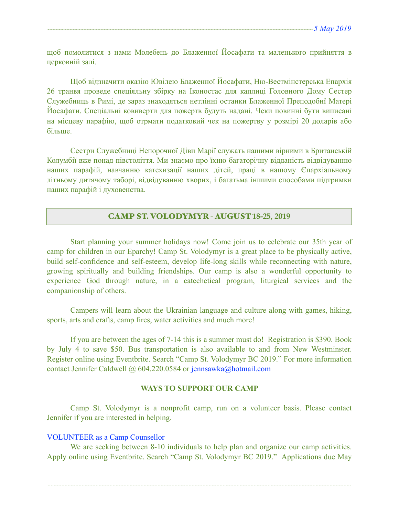щоб помолитися з нами Молебень до Блаженної Йосафати та маленького прийняття в церковній залі.

Щоб відзначити оказію Ювілею Блаженної Йосафати, Ню-Вестмінстерська Епархія 26 транвя проведе спеціяльну збірку на Іконостас для каплиці Головного Дому Сестер Служебниць в Римі, де зараз знаходяться нетлінні останки Блаженної Преподобнї Матері Йосафати. Спеціальні ковнверти для пожертв будуть надані. Чеки повинні бути виписані на місцеву парафію, щоб отрмати податковий чек на пожертву у розмірі 20 доларів або більше.

Сестри Служебниці Непорочної Діви Марії служать нашими вірними в Британській Колумбії вже понад півстоліття. Ми знаємо про їхню багаторічну відданість відвідуванню наших парафій, навчанню катехизації наших дітей, праці в нашому Єпархіальному літньому дитячому таборі, відвідуванню хворих, і багатьма іншими способами підтримки наших парафій і духовенства.

### CAMP ST. VOLODYMYR - AUGUST **18-25, 2019**

 Start planning your summer holidays now! Come join us to celebrate our 35th year of camp for children in our Eparchy! Camp St. Volodymyr is a great place to be physically active, build self-confidence and self-esteem, develop life-long skills while reconnecting with nature, growing spiritually and building friendships. Our camp is also a wonderful opportunity to experience God through nature, in a catechetical program, liturgical services and the companionship of others.

Campers will learn about the Ukrainian language and culture along with games, hiking, sports, arts and crafts, camp fires, water activities and much more!

If you are between the ages of 7-14 this is a summer must do! Registration is \$390. Book by July 4 to save \$50. Bus transportation is also available to and from New Westminster. Register online using Eventbrite. Search "Camp St. Volodymyr BC 2019." For more information contact Jennifer Caldwell @ 604.220.0584 or [jennsawka@hotmail.com](mailto:jennsawka@hotmail.com)

### **WAYS TO SUPPORT OUR CAMP**

Camp St. Volodymyr is a nonprofit camp, run on a volunteer basis. Please contact Jennifer if you are interested in helping.

### VOLUNTEER as a Camp Counsellor

We are seeking between 8-10 individuals to help plan and organize our camp activities. Apply online using Eventbrite. Search "Camp St. Volodymyr BC 2019." Applications due May